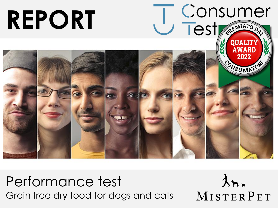

Performance test Grain free dry food for dogs and cats

 $\lambda$ nx MISTERPET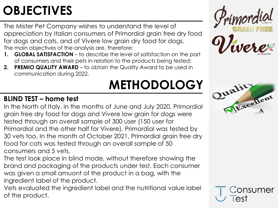#### **OBJECTIVES**

The Mister Pet Company wishes to understand the level of appreciation by Italian consumers of Primordial grain free dry food for dogs and cats, and of Vivere low grain dry food for dogs. The main objectives of the analysis are, therefore:

- **1. GLOBAL SATISFACTION**  to describe the level of satisfaction on the part of consumers and their pets in relation to the products being tested;
- **2. PREMIO QUALITY AWARD**  to obtain the Quality Award to be used in communication during 2022.

## **METHODOLOGY**

# nord



#### **BLIND TEST – home test**

In the North of Italy, in the months of June and July 2020, Primordial grain free dry food for dogs and Vivere low grain for dogs were tested through an overall sample of 300 user (150 user for Primordial and the other half for Vivere). Primordial was tested by 30 vets too. In the month of October 2021, Primordial grain free dry food for cats was tested through an overall sample of 50 consumers and 5 vets.

The test look place in blind mode, without therefore showing the brand and packaging of the products under test. Each consumer was given a small amuont of the product in a bag, with the ingredient label of the product.

Vets evaluated the ingredient label and the nutritional value label of the product.

onsumer  $\overline{P}$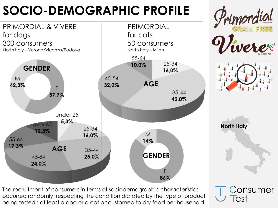#### **SOCIO-DEMOGRAPHIC PROFILE**



Consumer

lest

The recruitment of consumers in terms of sociodemographic characteristics occurred randomly, respecting the condition dictated by the type of product being tested : at least a dog or a cat accustomed to dry food per household.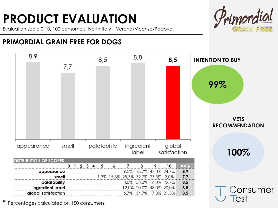#### **PRODUCT EVALUATION**

Evaluation scale 0-10, 100 consumers, North Italy – Verona/Vicenza/Padova.



#### **PRIMORDIAL GRAIN FREE FOR DOGS**



\* Percentages calculated on 150 consumers.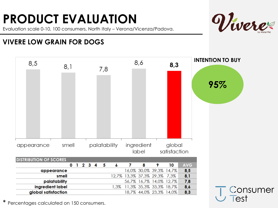### **PRODUCT EVALUATION**

Evaluation scale 0-10, 100 consumers, North Italy – Verona/Vicenza/Padova.



#### **VIVERE LOW GRAIN FOR DOGS**



\* Percentages calculated on 150 consumers.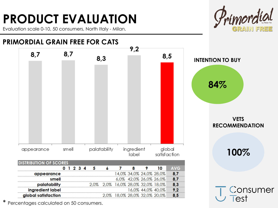#### **PRODUCT EVALUATION**

Evaluation scale 0-10, 50 consumers, North Italy - Milan.



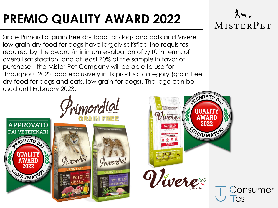### **PREMIO QUALITY AWARD 2022**

Primordial

Primordial

**APPROVATO** 

**DAI VETERINARI** 

REMIATO DA

CONSUMATOR

Since Primordial grain free dry food for dogs and cats and Vivere low grain dry food for dogs have largely satisfied the requisites required by the award (minimum evaluation of 7/10 in terms of overall satisfaction and at least 70% of the sample in favor of purchase), the Mister Pet Company will be able to use for throughout 2022 logo exclusively in its product category (grain free dry food for dogs and cats, low grain for dogs). The logo can be used until February 2023.REMIATO D

**MPLETE AND BALGARIER NUMBER** 

Primordial

were

Vivere

A WA RI

2022

ONSUMATOR



Consumer